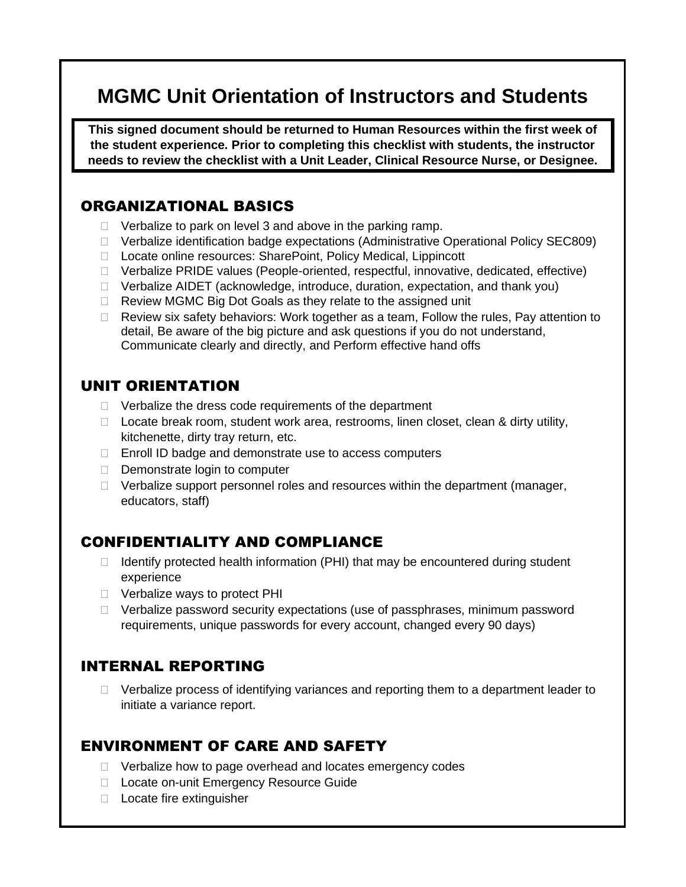# **MGMC Unit Orientation of Instructors and Students**

**This signed document should be returned to Human Resources within the first week of the student experience. Prior to completing this checklist with students, the instructor needs to review the checklist with a Unit Leader, Clinical Resource Nurse, or Designee.**

#### ORGANIZATIONAL BASICS

- $\Box$  Verbalize to park on level 3 and above in the parking ramp.
- Verbalize identification badge expectations (Administrative Operational Policy SEC809)
- □ Locate online resources: SharePoint, Policy Medical, Lippincott
- □ Verbalize PRIDE values (People-oriented, respectful, innovative, dedicated, effective)
- $\Box$  Verbalize AIDET (acknowledge, introduce, duration, expectation, and thank you)
- □ Review MGMC Big Dot Goals as they relate to the assigned unit
- $\Box$  Review six safety behaviors: Work together as a team, Follow the rules, Pay attention to detail, Be aware of the big picture and ask questions if you do not understand, Communicate clearly and directly, and Perform effective hand offs

#### UNIT ORIENTATION

- $\Box$  Verbalize the dress code requirements of the department
- $\Box$  Locate break room, student work area, restrooms, linen closet, clean & dirty utility, kitchenette, dirty tray return, etc.
- $\Box$  Enroll ID badge and demonstrate use to access computers
- $\Box$  Demonstrate login to computer
- $\Box$  Verbalize support personnel roles and resources within the department (manager, educators, staff)

### CONFIDENTIALITY AND COMPLIANCE

- $\Box$  Identify protected health information (PHI) that may be encountered during student experience
- □ Verbalize ways to protect PHI
- □ Verbalize password security expectations (use of passphrases, minimum password requirements, unique passwords for every account, changed every 90 days)

## INTERNAL REPORTING

 $\Box$  Verbalize process of identifying variances and reporting them to a department leader to initiate a variance report.

#### ENVIRONMENT OF CARE AND SAFETY

- $\Box$  Verbalize how to page overhead and locates emergency codes
- D Locate on-unit Emergency Resource Guide
- □ Locate fire extinguisher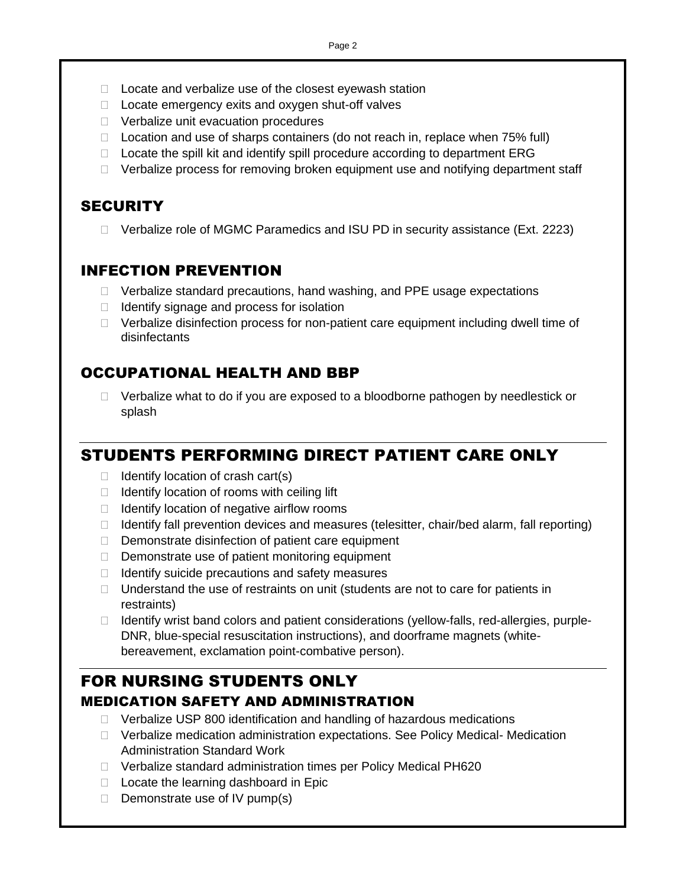- $\Box$  Locate and verbalize use of the closest eyewash station
- $\Box$  Locate emergency exits and oxygen shut-off valves
- D Verbalize unit evacuation procedures
- $\Box$  Location and use of sharps containers (do not reach in, replace when 75% full)
- $\Box$  Locate the spill kit and identify spill procedure according to department ERG
- $\Box$  Verbalize process for removing broken equipment use and notifying department staff

## **SECURITY**

□ Verbalize role of MGMC Paramedics and ISU PD in security assistance (Ext. 2223)

### INFECTION PREVENTION

- $\Box$  Verbalize standard precautions, hand washing, and PPE usage expectations
- $\Box$  Identify signage and process for isolation
- $\Box$  Verbalize disinfection process for non-patient care equipment including dwell time of disinfectants

## OCCUPATIONAL HEALTH AND BBP

 $\Box$  Verbalize what to do if you are exposed to a bloodborne pathogen by needlestick or splash

# STUDENTS PERFORMING DIRECT PATIENT CARE ONLY

- $\Box$  Identify location of crash cart(s)
- $\Box$  Identify location of rooms with ceiling lift
- $\Box$  Identify location of negative airflow rooms
- $\Box$  Identify fall prevention devices and measures (telesitter, chair/bed alarm, fall reporting)
- $\Box$  Demonstrate disinfection of patient care equipment
- $\Box$  Demonstrate use of patient monitoring equipment
- $\Box$  Identify suicide precautions and safety measures
- $\Box$  Understand the use of restraints on unit (students are not to care for patients in restraints)
- $\Box$  Identify wrist band colors and patient considerations (yellow-falls, red-allergies, purple-DNR, blue-special resuscitation instructions), and doorframe magnets (whitebereavement, exclamation point-combative person).

# FOR NURSING STUDENTS ONLY MEDICATION SAFETY AND ADMINISTRATION

- $\Box$  Verbalize USP 800 identification and handling of hazardous medications
- Verbalize medication administration expectations. See Policy Medical- Medication Administration Standard Work
- □ Verbalize standard administration times per Policy Medical PH620
- $\Box$  Locate the learning dashboard in Epic
- $\Box$  Demonstrate use of IV pump(s)